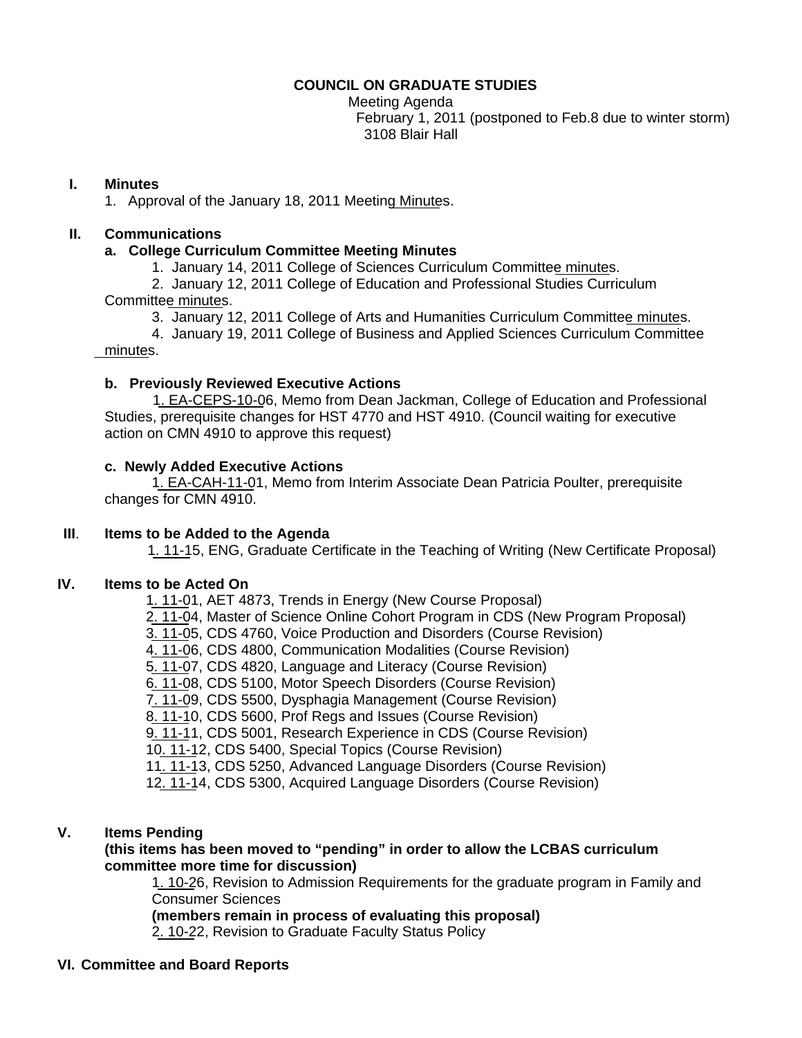#### **COUNCIL ON GRADUATE STUDIES**

Meeting Agenda February 1, 2011 (postponed to Feb.8 due to winter storm) 3108 Blair Hall

## **I. Minutes**

1. Approval of the January 18, 2011 Meeti[ng Minutes](http://castle.eiu.edu/~eiucgs/currentminutes/Minutes1-18-11.pdf).

## **II. Communications**

## **a. College Curriculum Committee Meeting Minutes**

1. January 14, 2011 College of Sciences Curriculum Committ[ee minutes.](http://castle.eiu.edu/~eiucgs/currentagendaitems/COSMin1-14-11.pdf)

 2. January 12, 2011 College of Education and Professional Studies Curriculum Committ[ee minutes.](http://castle.eiu.edu/~eiucgs/currentagendaitems/CEPSMin1-12-11.pdf)

3. January 12, 2011 College of Arts and Humanities Curriculum Committ[ee minutes](http://castle.eiu.edu/~eiucgs/currentagendaitems/CAHMin1-12-11.pdf).

 4. January 19, 2011 College of Business and Applied Sciences Curriculum Committee [minutes.](http://castle.eiu.edu/~eiucgs/currentagendaitems/LCBASMin1-19-11.pdf)

## **b. Previously Reviewed Executive Actions**

 [1. EA-CEPS-10-06,](http://castle.eiu.edu/~eiucgs/exec-actions/EA-CEPS-10-06.pdf) Memo from Dean Jackman, College of Education and Professional Studies, prerequisite changes for HST 4770 and HST 4910. (Council waiting for executive action on CMN 4910 to approve this request)

## **c. Newly Added Executive Actions**

 [1. EA-CAH-11-01,](http://castle.eiu.edu/~eiucgs/exec-actions/EA-CAH-11-01.pdf) Memo from Interim Associate Dean Patricia Poulter, prerequisite changes for CMN 4910.

## **III**. **Items to be Added to the Agenda**

[1. 11-15,](http://www.eiu.edu/~eiucgs/currentagendaitems/agenda11-15.pdf) ENG, Graduate Certificate in the Teaching of Writing (New Certificate Proposal)

## **IV. Items to be Acted On**

[1. 11-01](http://www.eiu.edu/~eiucgs/currentagendaitems/agenda11-01.pdf), AET 4873, Trends in Energy (New Course Proposal)

[2. 11-04,](http://www.eiu.edu/~eiucgs/currentagendaitems/agenda11-04.pdf) Master of Science Online Cohort Program in CDS (New Program Proposal)

[3. 11-05](http://www.eiu.edu/~eiucgs/currentagendaitems/agenda11-05.pdf), CDS 4760, Voice Production and Disorders (Course Revision)

[4. 11-06](http://www.eiu.edu/~eiucgs/currentagendaitems/agenda11-06.pdf), CDS 4800, Communication Modalities (Course Revision)

[5. 11-07,](http://www.eiu.edu/~eiucgs/currentagendaitems/agenda11-07.pdf) CDS 4820, Language and Literacy (Course Revision)

[6. 11-08](http://www.eiu.edu/~eiucgs/currentagendaitems/agenda11-08.pdf), CDS 5100, Motor Speech Disorders (Course Revision)

[7. 11-09](http://www.eiu.edu/~eiucgs/currentagendaitems/agenda11-09.pdf), CDS 5500, Dysphagia Management (Course Revision)

[8. 11-10,](http://www.eiu.edu/~eiucgs/currentagendaitems/agenda11-10.pdf) CDS 5600, Prof Regs and Issues (Course Revision)

[9. 11-11](http://www.eiu.edu/~eiucgs/currentagendaitems/agenda11-11.pdf), CDS 5001, Research Experience in CDS (Course Revision)

1[0. 11-12](http://www.eiu.edu/~eiucgs/currentagendaitems/agenda11-12.pdf), CDS 5400, Special Topics (Course Revision)

1[1. 11-13,](http://www.eiu.edu/~eiucgs/currentagendaitems/agenda11-13.pdf) CDS 5250, Advanced Language Disorders (Course Revision)

1[2. 11-14](http://www.eiu.edu/~eiucgs/currentagendaitems/agenda11-14.pdf), CDS 5300, Acquired Language Disorders (Course Revision)

## **V. Items Pending**

## **(this items has been moved to "pending" in order to allow the LCBAS curriculum committee more time for discussion)**

[1. 10-26](http://www.eiu.edu/~eiucgs/currentagendaitems/agenda10-26.pdf), Revision to Admission Requirements for the graduate program in Family and Consumer Sciences

**(members remain in process of evaluating this proposal)** 

2. [10-22](http://www.eiu.edu/~eiucgs/currentagendaitems/agenda10-22.pdf), Revision to Graduate Faculty Status Policy

# **VI. Committee and Board Reports**